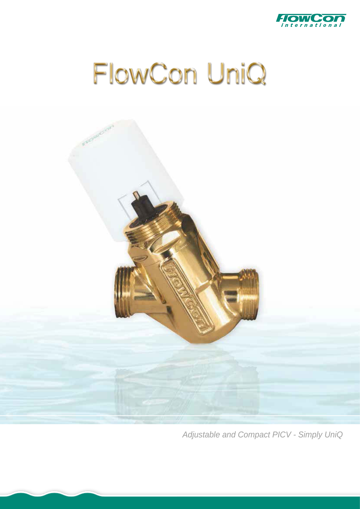

# FlowCon UniQ



*Adjustable and Compact PICV - Simply UniQ*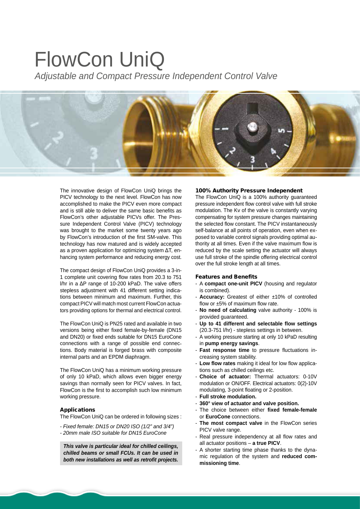# FlowCon UniQ

*Adjustable and Compact Pressure Independent Control Valve*



The innovative design of [FlowCon UniQ](http://planetaklimata.com.ua/catalog/lineup/?goodsid=960&path=root-27-46-136-960) brings the PICV technology to the next level. FlowCon has now accomplished to make the PICV even more compact and is still able to deliver the same basic benefits as FlowCon's other adjustable PICVs offer. The Pressure [Independent Control Valve](http://planetaklimata.com.ua/katalog-proizvoditeli/FlowCon/) (PICV) technology was brought to the market some twenty years ago by FlowCon's introduction of the first SM-valve. This technology has now matured and is widely accepted as a proven application for optimizing system ΔT, enhancing system performance and reducing energy cost.

The compact design of FlowCon UniQ provides a 3-in-1 complete unit covering flow rates from 20.3 to 751 l/hr in a ΔP range of 10-200 kPaD. The valve offers stepless adjustment with 41 different setting indications between minimum and maximum. Further, this compact PICV will match most current FlowCon actuators providing options for thermal and electrical control.

The FlowCon UniQ is PN25 rated and available in two versions being either fixed female-by-female (DN15 and DN20) or fixed ends suitable for DN15 EuroCone connections with a range of possible end connections. Body material is forged brass with composite internal parts and an EPDM diaphragm.

The FlowCon UniQ has a minimum working pressure of only 10 kPaD, which allows even bigger energy savings than normally seen for PICV valves. In fact, FlowCon is the first to accomplish such low minimum working pressure.

#### Applications

The FlowCon UniQ can be ordered in following sizes :

- *Fixed female: DN15 or DN20 ISO (1/2" and 3/4")*
- *20mm male ISO suitable for DN15 EuroCone*

*This valve is particular ideal for chilled ceilings, chilled beams or small FCUs. It can be used in both new installations as well as retrofit projects.* 

### 100% Authority Pressure Independent

The [FlowCon](http://planetaklimata.com.ua/proizvoditeli/FlowCon/) UniQ is a 100% authority guaranteed pressure independent flow control valve with full stroke modulation. The Kv of the valve is constantly varying compensating for system pressure changes maintaining the selected flow constant. The PICV instantaneously self-balance at all points of operation, even when exposed to variable control signals providing optimal authority at all times. Even if the valve maximum flow is reduced by the scale setting the actuator will always use full stroke of the spindle offering electrical control over the full stroke length at all times.

#### Features and Benefits

- A **compact one-unit PICV** (housing and regulator is combined).
- **Accuracy:** Greatest of either ±10% of controlled flow or ±5% of maximum flow rate.
- **No need of calculating** valve authority 100% is provided guaranteed.
- **Up to 41 different and selectable flow settings** (20.3-751 l/hr) - stepless settings in between.
- A working pressure starting at only 10 kPaD resulting in **pump energy savings**.
- **Fast response time** to pressure fluctuations increasing system stability.
- Low flow rates making it ideal for low flow applications such as chilled ceilings etc.
- **Choice of actuator:** Thermal actuators: 0-10V modulation or ON/OFF. Electrical actuators: 0(2)-10V modulating, 3-point floating or 2-position.
- **Full stroke modulation.**
- **360° view of actuator and valve position.**
- The choice between either **fixed female-female** or **EuroCone** connections.
- **The most compact valve** in the FlowCon series PICV valve range.
- Real pressure independency at all flow rates and all actuator positions – **a true PICV**.
- A shorter starting time phase thanks to the dynamic regulation of the system and **reduced commissioning time**.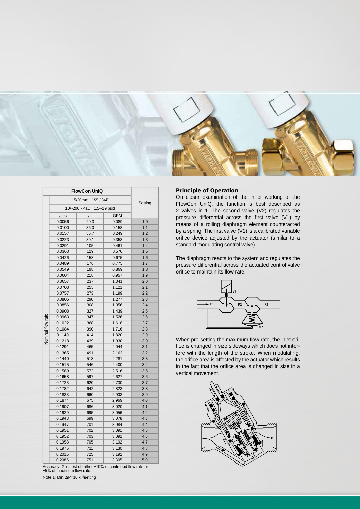

|                   |        |                                                                                                                                                                                                                                                                                                                                                                                                                                                                                                                                                                             |            | Setting    |
|-------------------|--------|-----------------------------------------------------------------------------------------------------------------------------------------------------------------------------------------------------------------------------------------------------------------------------------------------------------------------------------------------------------------------------------------------------------------------------------------------------------------------------------------------------------------------------------------------------------------------------|------------|------------|
|                   |        |                                                                                                                                                                                                                                                                                                                                                                                                                                                                                                                                                                             |            |            |
|                   | I/sec  | $l$ /hr                                                                                                                                                                                                                                                                                                                                                                                                                                                                                                                                                                     | <b>GPM</b> |            |
|                   | 0.0056 | 20.3                                                                                                                                                                                                                                                                                                                                                                                                                                                                                                                                                                        | 0.089      | 1.0        |
|                   | 0.0100 | 36.0                                                                                                                                                                                                                                                                                                                                                                                                                                                                                                                                                                        | 0.158      | 1.1        |
|                   | 0.0157 | 56.7                                                                                                                                                                                                                                                                                                                                                                                                                                                                                                                                                                        | 0.249      | 1.2        |
|                   | 0.0223 | 80.1                                                                                                                                                                                                                                                                                                                                                                                                                                                                                                                                                                        | 0.353      | 1.3        |
|                   | 0.0291 | 105                                                                                                                                                                                                                                                                                                                                                                                                                                                                                                                                                                         | 0.461      | 1.4        |
|                   | 0.0360 | 129                                                                                                                                                                                                                                                                                                                                                                                                                                                                                                                                                                         | 0.570      | 1.5        |
|                   | 0.0426 | 153                                                                                                                                                                                                                                                                                                                                                                                                                                                                                                                                                                         | 0.675      | 1.6        |
|                   | 0.0489 | 176                                                                                                                                                                                                                                                                                                                                                                                                                                                                                                                                                                         | 0.775      | 1.7        |
|                   | 0.0549 | 198                                                                                                                                                                                                                                                                                                                                                                                                                                                                                                                                                                         | 0.869      | 1.8        |
|                   | 0.0604 | 218                                                                                                                                                                                                                                                                                                                                                                                                                                                                                                                                                                         | 0.957      | 1.9        |
|                   | 0.0657 | 237                                                                                                                                                                                                                                                                                                                                                                                                                                                                                                                                                                         | 1.041      | 2.0        |
|                   | 0.0708 | <b>FlowCon UniQ</b><br>15/20mm · 1/2" / 3/4"<br>101-200 kPaD · 1.51-29 psid<br>255<br>1.121<br>273<br>1.199<br>290<br>1.277<br>308<br>1.356<br>327<br>1.439<br>347<br>1.526<br>368<br>1.618<br>390<br>1.716<br>414<br>1.820<br>439<br>1.930<br>465<br>2.044<br>491<br>2.162<br>518<br>2.281<br>546<br>2.400<br>572<br>2.516<br>597<br>2.627<br>620<br>2.730<br>642<br>2.823<br>660<br>2.903<br>675<br>2.969<br>686<br>3.020<br>695<br>3.056<br>699<br>3.078<br>3.084<br>701<br>702<br>3.091<br>703<br>3.092<br>705<br>3.102<br>711<br>3.130<br>725<br>3.192<br>3.305<br>751 | 2.1        |            |
|                   | 0.0757 |                                                                                                                                                                                                                                                                                                                                                                                                                                                                                                                                                                             | 2.2        |            |
|                   | 0.0806 |                                                                                                                                                                                                                                                                                                                                                                                                                                                                                                                                                                             |            | 2.3        |
| Nominal flow rate | 0.0856 |                                                                                                                                                                                                                                                                                                                                                                                                                                                                                                                                                                             |            | 2.4        |
|                   | 0.0908 |                                                                                                                                                                                                                                                                                                                                                                                                                                                                                                                                                                             |            | 2.5        |
|                   | 0.0963 |                                                                                                                                                                                                                                                                                                                                                                                                                                                                                                                                                                             |            | 2.6        |
|                   | 0.1022 |                                                                                                                                                                                                                                                                                                                                                                                                                                                                                                                                                                             |            | 2.7        |
|                   | 0.1084 |                                                                                                                                                                                                                                                                                                                                                                                                                                                                                                                                                                             |            | 2.8        |
|                   | 0.1149 |                                                                                                                                                                                                                                                                                                                                                                                                                                                                                                                                                                             |            | 2.9        |
|                   | 0.1218 |                                                                                                                                                                                                                                                                                                                                                                                                                                                                                                                                                                             |            | 3.0<br>3.1 |
|                   | 0.1291 |                                                                                                                                                                                                                                                                                                                                                                                                                                                                                                                                                                             |            |            |
|                   | 0.1365 |                                                                                                                                                                                                                                                                                                                                                                                                                                                                                                                                                                             |            | 3.2        |
|                   | 0.1440 |                                                                                                                                                                                                                                                                                                                                                                                                                                                                                                                                                                             |            | 3.3        |
|                   | 0.1515 |                                                                                                                                                                                                                                                                                                                                                                                                                                                                                                                                                                             |            | 3.4        |
|                   | 0.1589 |                                                                                                                                                                                                                                                                                                                                                                                                                                                                                                                                                                             |            | 3.5        |
|                   | 0.1658 |                                                                                                                                                                                                                                                                                                                                                                                                                                                                                                                                                                             |            | 3.6        |
|                   | 0.1723 |                                                                                                                                                                                                                                                                                                                                                                                                                                                                                                                                                                             |            | 3.7        |
|                   | 0.1782 |                                                                                                                                                                                                                                                                                                                                                                                                                                                                                                                                                                             |            | 3.8        |
|                   | 0.1833 |                                                                                                                                                                                                                                                                                                                                                                                                                                                                                                                                                                             |            | 3.9        |
|                   | 0.1874 |                                                                                                                                                                                                                                                                                                                                                                                                                                                                                                                                                                             |            | 4.0        |
|                   | 0.1907 |                                                                                                                                                                                                                                                                                                                                                                                                                                                                                                                                                                             |            | 4.1        |
|                   | 0.1929 |                                                                                                                                                                                                                                                                                                                                                                                                                                                                                                                                                                             |            | 4.2        |
|                   | 0.1943 |                                                                                                                                                                                                                                                                                                                                                                                                                                                                                                                                                                             |            | 4.3        |
|                   | 0.1947 |                                                                                                                                                                                                                                                                                                                                                                                                                                                                                                                                                                             |            | 4.4        |
|                   | 0.1951 |                                                                                                                                                                                                                                                                                                                                                                                                                                                                                                                                                                             |            | 4.5        |
|                   | 0.1952 |                                                                                                                                                                                                                                                                                                                                                                                                                                                                                                                                                                             |            | 4.6        |
|                   | 0.1958 |                                                                                                                                                                                                                                                                                                                                                                                                                                                                                                                                                                             |            | 4.7        |
|                   | 0.1976 |                                                                                                                                                                                                                                                                                                                                                                                                                                                                                                                                                                             |            | 4.8        |
|                   | 0.2015 |                                                                                                                                                                                                                                                                                                                                                                                                                                                                                                                                                                             |            | 4.9        |
|                   | 0.2086 |                                                                                                                                                                                                                                                                                                                                                                                                                                                                                                                                                                             |            | 5.0        |

Accuracy: Greatest of either ±10% of controlled flow rate or ±5% of maximum flow rate.

Note 1: Min. ΔP=10 x √setting

## Principle of Operation

On closer examination of the inner working of the FlowCon UniQ, the function is best described as 2 valves in 1. The second valve (V2) regulates the pressure differential across the first valve (V1) by means of a rolling diaphragm element counteracted by a spring. The first valve (V1) is a calibrated variable orifice device adjusted by the actuator (similar to a standard modulating control valve).

The diaphragm reacts to the system and regulates the pressure differential across the actuated control valve orifice to maintain its flow rate.



When pre-setting the maximum flow rate, the inlet orifice is changed in size sideways which does not interfere with the length of the stroke. When modulating, the orifice area is affected by the actuator which results in the fact that the orifice area is changed in size in a vertical movement.